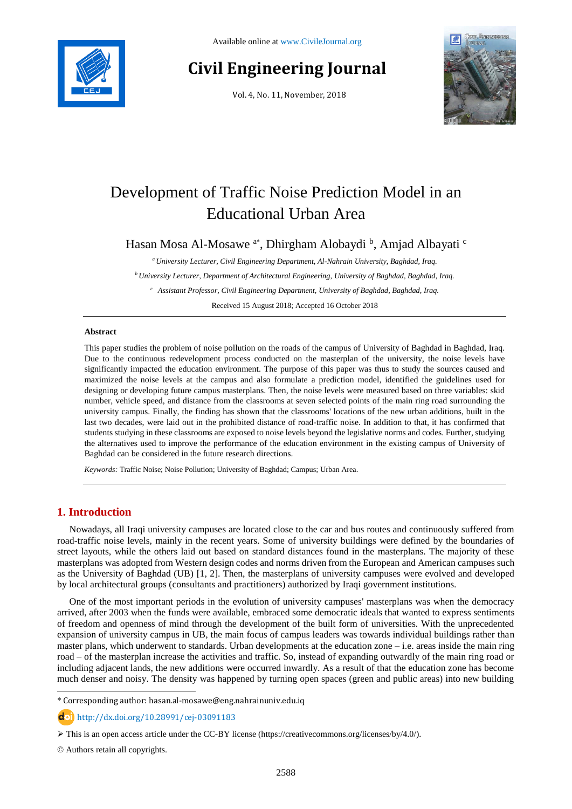

# **Civil Engineering Journal**

Vol. 4, No. 11, November, 2018



# Development of Traffic Noise Prediction Model in an Educational Urban Area

Hasan Mosa Al-Mosawe <sup>a\*</sup>, Dhirgham Alobaydi <sup>b</sup>, Amjad Albayati <sup>c</sup>

*<sup>a</sup>University Lecturer, Civil Engineering Department, Al-Nahrain University, Baghdad, Iraq.*

*<sup>b</sup> University Lecturer, Department of Architectural Engineering, University of Baghdad, Baghdad, Iraq.*

*<sup>c</sup> Assistant Professor, Civil Engineering Department, University of Baghdad, Baghdad, Iraq.*

Received 15 August 2018; Accepted 16 October 2018

#### **Abstract**

This paper studies the problem of noise pollution on the roads of the campus of University of Baghdad in Baghdad, Iraq. Due to the continuous redevelopment process conducted on the masterplan of the university, the noise levels have significantly impacted the education environment. The purpose of this paper was thus to study the sources caused and maximized the noise levels at the campus and also formulate a prediction model, identified the guidelines used for designing or developing future campus masterplans. Then, the noise levels were measured based on three variables: skid number, vehicle speed, and distance from the classrooms at seven selected points of the main ring road surrounding the university campus. Finally, the finding has shown that the classrooms' locations of the new urban additions, built in the last two decades, were laid out in the prohibited distance of road-traffic noise. In addition to that, it has confirmed that students studying in these classrooms are exposed to noise levels beyond the legislative norms and codes. Further, studying the alternatives used to improve the performance of the education environment in the existing campus of University of Baghdad can be considered in the future research directions.

*Keywords:* Traffic Noise; Noise Pollution; University of Baghdad; Campus; Urban Area.

# **1. Introduction**

Nowadays, all Iraqi university campuses are located close to the car and bus routes and continuously suffered from road-traffic noise levels, mainly in the recent years. Some of university buildings were defined by the boundaries of street layouts, while the others laid out based on standard distances found in the masterplans. The majority of these masterplans was adopted from Western design codes and norms driven from the European and American campuses such as the University of Baghdad (UB) [1, 2]. Then, the masterplans of university campuses were evolved and developed by local architectural groups (consultants and practitioners) authorized by Iraqi government institutions.

One of the most important periods in the evolution of university campuses' masterplans was when the democracy arrived, after 2003 when the funds were available, embraced some democratic ideals that wanted to express sentiments of freedom and openness of mind through the development of the built form of universities. With the unprecedented expansion of university campus in UB, the main focus of campus leaders was towards individual buildings rather than master plans, which underwent to standards. Urban developments at the education zone – i.e. areas inside the main ring road – of the masterplan increase the activities and traffic. So, instead of expanding outwardly of the main ring road or including adjacent lands, the new additions were occurred inwardly. As a result of that the education zone has become much denser and noisy. The density was happened by turning open spaces (green and public areas) into new building

http://dx.doi.org/10.28991/cej-03091183

© Authors retain all copyrights.

l

<sup>\*</sup> Corresponding author: hasan.al-mosawe@eng.nahrainuniv.edu.iq

This is an open access article under the CC-BY license [\(https://creativecommons.org/licenses/by/4.0/\)](https://creativecommons.org/licenses/by/4.0/).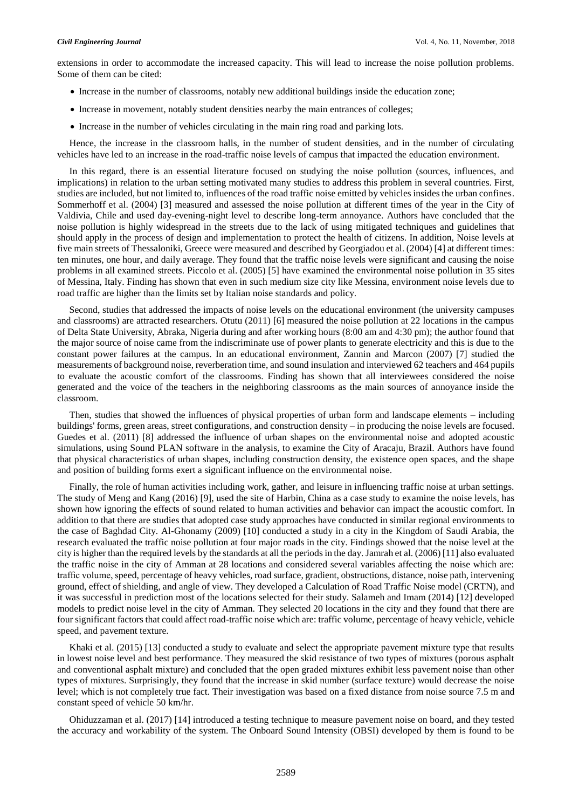extensions in order to accommodate the increased capacity. This will lead to increase the noise pollution problems. Some of them can be cited:

- Increase in the number of classrooms, notably new additional buildings inside the education zone;
- Increase in movement, notably student densities nearby the main entrances of colleges;
- Increase in the number of vehicles circulating in the main ring road and parking lots.

Hence, the increase in the classroom halls, in the number of student densities, and in the number of circulating vehicles have led to an increase in the road-traffic noise levels of campus that impacted the education environment.

In this regard, there is an essential literature focused on studying the noise pollution (sources, influences, and implications) in relation to the urban setting motivated many studies to address this problem in several countries. First, studies are included, but not limited to, influences of the road traffic noise emitted by vehicles insides the urban confines. Sommerhoff et al. (2004) [3] measured and assessed the noise pollution at different times of the year in the City of Valdivia, Chile and used day-evening-night level to describe long-term annoyance. Authors have concluded that the noise pollution is highly widespread in the streets due to the lack of using mitigated techniques and guidelines that should apply in the process of design and implementation to protect the health of citizens. In addition, Noise levels at five main streets of Thessaloniki, Greece were measured and described by Georgiadou et al. (2004) [4] at different times: ten minutes, one hour, and daily average. They found that the traffic noise levels were significant and causing the noise problems in all examined streets. Piccolo et al. (2005) [5] have examined the environmental noise pollution in 35 sites of Messina, Italy. Finding has shown that even in such medium size city like Messina, environment noise levels due to road traffic are higher than the limits set by Italian noise standards and policy.

Second, studies that addressed the impacts of noise levels on the educational environment (the university campuses and classrooms) are attracted researchers. Otutu (2011) [6] measured the noise pollution at 22 locations in the campus of Delta State University, Abraka, Nigeria during and after working hours (8:00 am and 4:30 pm); the author found that the major source of noise came from the indiscriminate use of power plants to generate electricity and this is due to the constant power failures at the campus. In an educational environment, Zannin and Marcon (2007) [7] studied the measurements of background noise, reverberation time, and sound insulation and interviewed 62 teachers and 464 pupils to evaluate the acoustic comfort of the classrooms. Finding has shown that all interviewees considered the noise generated and the voice of the teachers in the neighboring classrooms as the main sources of annoyance inside the classroom.

Then, studies that showed the influences of physical properties of urban form and landscape elements – including buildings' forms, green areas, street configurations, and construction density – in producing the noise levels are focused. Guedes et al. (2011) [8] addressed the influence of urban shapes on the environmental noise and adopted acoustic simulations, using Sound PLAN software in the analysis, to examine the City of Aracaju, Brazil. Authors have found that physical characteristics of urban shapes, including construction density, the existence open spaces, and the shape and position of building forms exert a significant influence on the environmental noise.

Finally, the role of human activities including work, gather, and leisure in influencing traffic noise at urban settings. The study of Meng and Kang (2016) [9], used the site of Harbin, China as a case study to examine the noise levels, has shown how ignoring the effects of sound related to human activities and behavior can impact the acoustic comfort. In addition to that there are studies that adopted case study approaches have conducted in similar regional environments to the case of Baghdad City. Al-Ghonamy (2009) [10] conducted a study in a city in the Kingdom of Saudi Arabia, the research evaluated the traffic noise pollution at four major roads in the city. Findings showed that the noise level at the city is higher than the required levels by the standards at all the periods in the day. Jamrah et al. (2006) [11] also evaluated the traffic noise in the city of Amman at 28 locations and considered several variables affecting the noise which are: traffic volume, speed, percentage of heavy vehicles, road surface, gradient, obstructions, distance, noise path, intervening ground, effect of shielding, and angle of view. They developed a Calculation of Road Traffic Noise model (CRTN), and it was successful in prediction most of the locations selected for their study. Salameh and Imam (2014) [12] developed models to predict noise level in the city of Amman. They selected 20 locations in the city and they found that there are four significant factors that could affect road-traffic noise which are: traffic volume, percentage of heavy vehicle, vehicle speed, and pavement texture.

Khaki et al. (2015) [13] conducted a study to evaluate and select the appropriate pavement mixture type that results in lowest noise level and best performance. They measured the skid resistance of two types of mixtures (porous asphalt and conventional asphalt mixture) and concluded that the open graded mixtures exhibit less pavement noise than other types of mixtures. Surprisingly, they found that the increase in skid number (surface texture) would decrease the noise level; which is not completely true fact. Their investigation was based on a fixed distance from noise source 7.5 m and constant speed of vehicle 50 km/hr.

Ohiduzzaman et al. (2017) [14] introduced a testing technique to measure pavement noise on board, and they tested the accuracy and workability of the system. The Onboard Sound Intensity (OBSI) developed by them is found to be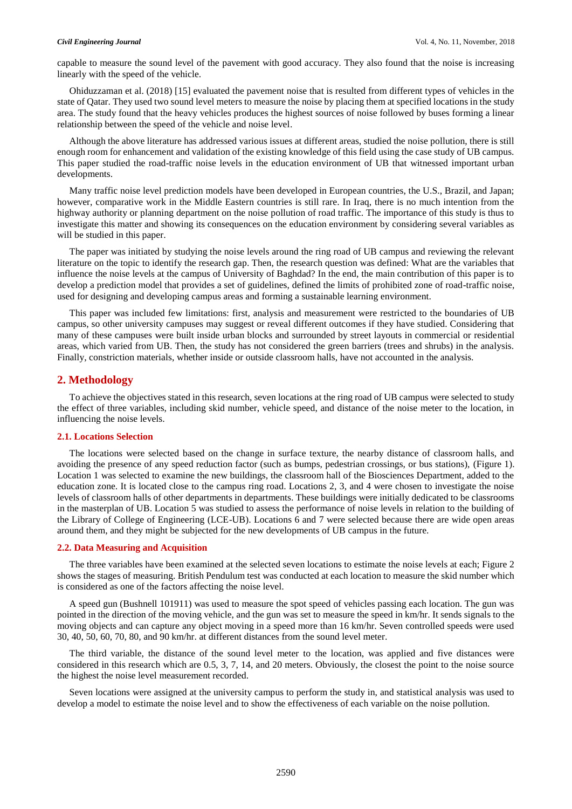capable to measure the sound level of the pavement with good accuracy. They also found that the noise is increasing linearly with the speed of the vehicle.

Ohiduzzaman et al. (2018) [15] evaluated the pavement noise that is resulted from different types of vehicles in the state of Qatar. They used two sound level meters to measure the noise by placing them at specified locations in the study area. The study found that the heavy vehicles produces the highest sources of noise followed by buses forming a linear relationship between the speed of the vehicle and noise level.

Although the above literature has addressed various issues at different areas, studied the noise pollution, there is still enough room for enhancement and validation of the existing knowledge of this field using the case study of UB campus. This paper studied the road-traffic noise levels in the education environment of UB that witnessed important urban developments.

Many traffic noise level prediction models have been developed in European countries, the U.S., Brazil, and Japan; however, comparative work in the Middle Eastern countries is still rare. In Iraq, there is no much intention from the highway authority or planning department on the noise pollution of road traffic. The importance of this study is thus to investigate this matter and showing its consequences on the education environment by considering several variables as will be studied in this paper.

The paper was initiated by studying the noise levels around the ring road of UB campus and reviewing the relevant literature on the topic to identify the research gap. Then, the research question was defined: What are the variables that influence the noise levels at the campus of University of Baghdad? In the end, the main contribution of this paper is to develop a prediction model that provides a set of guidelines, defined the limits of prohibited zone of road-traffic noise, used for designing and developing campus areas and forming a sustainable learning environment.

This paper was included few limitations: first, analysis and measurement were restricted to the boundaries of UB campus, so other university campuses may suggest or reveal different outcomes if they have studied. Considering that many of these campuses were built inside urban blocks and surrounded by street layouts in commercial or residential areas, which varied from UB. Then, the study has not considered the green barriers (trees and shrubs) in the analysis. Finally, constriction materials, whether inside or outside classroom halls, have not accounted in the analysis.

#### **2. Methodology**

To achieve the objectives stated in this research, seven locations at the ring road of UB campus were selected to study the effect of three variables, including skid number, vehicle speed, and distance of the noise meter to the location, in influencing the noise levels.

#### **2.1. Locations Selection**

The locations were selected based on the change in surface texture, the nearby distance of classroom halls, and avoiding the presence of any speed reduction factor (such as bumps, pedestrian crossings, or bus stations), (Figure 1). Location 1 was selected to examine the new buildings, the classroom hall of the Biosciences Department, added to the education zone. It is located close to the campus ring road. Locations 2, 3, and 4 were chosen to investigate the noise levels of classroom halls of other departments in departments. These buildings were initially dedicated to be classrooms in the masterplan of UB. Location 5 was studied to assess the performance of noise levels in relation to the building of the Library of College of Engineering (LCE-UB). Locations 6 and 7 were selected because there are wide open areas around them, and they might be subjected for the new developments of UB campus in the future.

#### **2.2. Data Measuring and Acquisition**

The three variables have been examined at the selected seven locations to estimate the noise levels at each; Figure 2 shows the stages of measuring. British Pendulum test was conducted at each location to measure the skid number which is considered as one of the factors affecting the noise level.

A speed gun (Bushnell 101911) was used to measure the spot speed of vehicles passing each location. The gun was pointed in the direction of the moving vehicle, and the gun was set to measure the speed in km/hr. It sends signals to the moving objects and can capture any object moving in a speed more than 16 km/hr. Seven controlled speeds were used 30, 40, 50, 60, 70, 80, and 90 km/hr. at different distances from the sound level meter.

The third variable, the distance of the sound level meter to the location, was applied and five distances were considered in this research which are 0.5, 3, 7, 14, and 20 meters. Obviously, the closest the point to the noise source the highest the noise level measurement recorded.

Seven locations were assigned at the university campus to perform the study in, and statistical analysis was used to develop a model to estimate the noise level and to show the effectiveness of each variable on the noise pollution.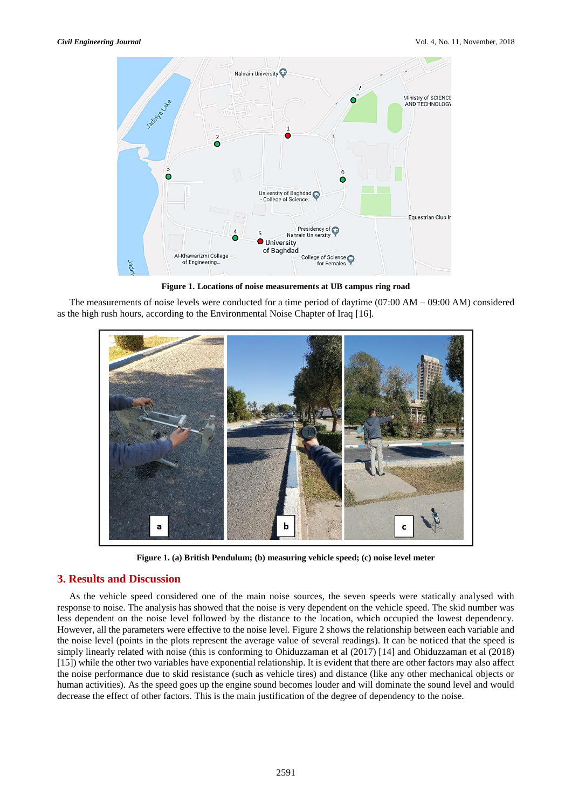

**Figure 1. Locations of noise measurements at UB campus ring road**

The measurements of noise levels were conducted for a time period of daytime (07:00 AM – 09:00 AM) considered as the high rush hours, according to the Environmental Noise Chapter of Iraq [16].



**Figure 1. (a) British Pendulum; (b) measuring vehicle speed; (c) noise level meter**

### **3. Results and Discussion**

As the vehicle speed considered one of the main noise sources, the seven speeds were statically analysed with response to noise. The analysis has showed that the noise is very dependent on the vehicle speed. The skid number was less dependent on the noise level followed by the distance to the location, which occupied the lowest dependency. However, all the parameters were effective to the noise level. [Figure 2](#page-4-0) shows the relationship between each variable and the noise level (points in the plots represent the average value of several readings). It can be noticed that the speed is simply linearly related with noise (this is conforming to Ohiduzzaman et al (2017) [14] and Ohiduzzaman et al (2018) [15]) while the other two variables have exponential relationship. It is evident that there are other factors may also affect the noise performance due to skid resistance (such as vehicle tires) and distance (like any other mechanical objects or human activities). As the speed goes up the engine sound becomes louder and will dominate the sound level and would decrease the effect of other factors. This is the main justification of the degree of dependency to the noise.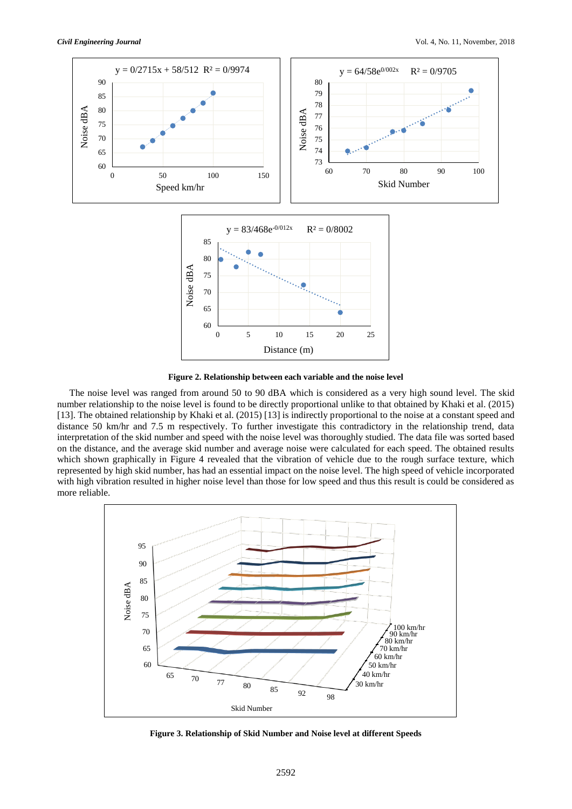

**Figure 2. Relationship between each variable and the noise level**

<span id="page-4-0"></span>The noise level was ranged from around 50 to 90 dBA which is considered as a very high sound level. The skid number relationship to the noise level is found to be directly proportional unlike to that obtained by Khaki et al. (2015) [13]. The obtained relationship by Khaki et al. (2015) [13] is indirectly proportional to the noise at a constant speed and distance 50 km/hr and 7.5 m respectively. To further investigate this contradictory in the relationship trend, data interpretation of the skid number and speed with the noise level was thoroughly studied. The data file was sorted based on the distance, and the average skid number and average noise were calculated for each speed. The obtained results which shown graphically in Figure 4 revealed that the vibration of vehicle due to the rough surface texture, which represented by high skid number, has had an essential impact on the noise level. The high speed of vehicle incorporated with high vibration resulted in higher noise level than those for low speed and thus this result is could be considered as more reliable.



**Figure 3. Relationship of Skid Number and Noise level at different Speeds**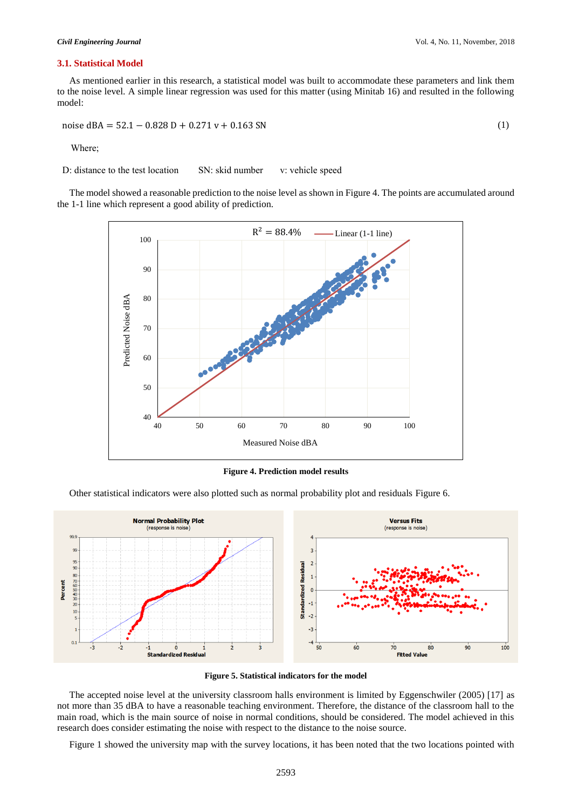#### **3.1. Statistical Model**

As mentioned earlier in this research, a statistical model was built to accommodate these parameters and link them to the noise level. A simple linear regression was used for this matter (using Minitab 16) and resulted in the following model:

noise dBA = 
$$
52.1 - 0.828 \text{ D} + 0.271 \text{ v} + 0.163 \text{ SN}
$$
 (1)

Where;

D: distance to the test location SN: skid number v: vehicle speed

The model showed a reasonable prediction to the noise level as shown in [Figure 4.](#page-5-0) The points are accumulated around the 1-1 line which represent a good ability of prediction.



**Figure 4. Prediction model results**

<span id="page-5-0"></span>Other statistical indicators were also plotted such as normal probability plot and residuals Figure 6.



**Figure 5. Statistical indicators for the model**

The accepted noise level at the university classroom halls environment is limited by Eggenschwiler (2005) [17] as not more than 35 dBA to have a reasonable teaching environment. Therefore, the distance of the classroom hall to the main road, which is the main source of noise in normal conditions, should be considered. The model achieved in this research does consider estimating the noise with respect to the distance to the noise source.

Figure 1 showed the university map with the survey locations, it has been noted that the two locations pointed with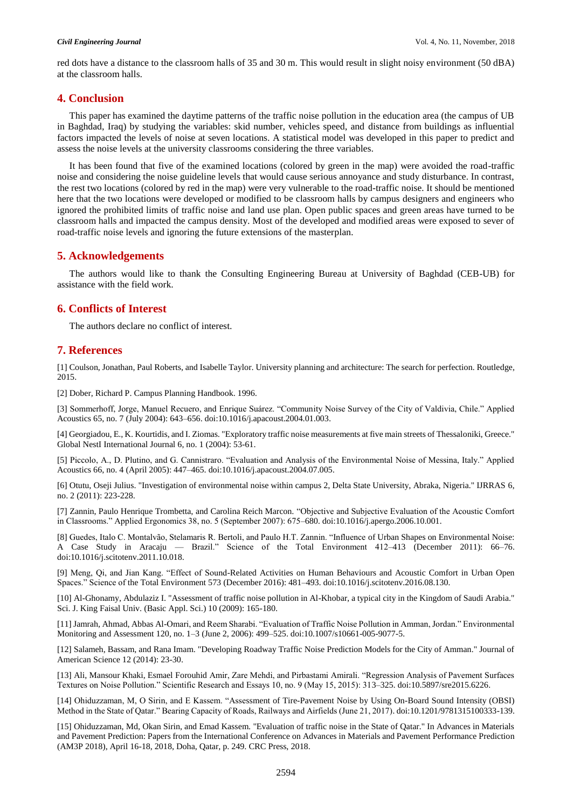red dots have a distance to the classroom halls of 35 and 30 m. This would result in slight noisy environment (50 dBA) at the classroom halls.

### **4. Conclusion**

This paper has examined the daytime patterns of the traffic noise pollution in the education area (the campus of UB in Baghdad, Iraq) by studying the variables: skid number, vehicles speed, and distance from buildings as influential factors impacted the levels of noise at seven locations. A statistical model was developed in this paper to predict and assess the noise levels at the university classrooms considering the three variables.

It has been found that five of the examined locations (colored by green in the map) were avoided the road-traffic noise and considering the noise guideline levels that would cause serious annoyance and study disturbance. In contrast, the rest two locations (colored by red in the map) were very vulnerable to the road-traffic noise. It should be mentioned here that the two locations were developed or modified to be classroom halls by campus designers and engineers who ignored the prohibited limits of traffic noise and land use plan. Open public spaces and green areas have turned to be classroom halls and impacted the campus density. Most of the developed and modified areas were exposed to sever of road-traffic noise levels and ignoring the future extensions of the masterplan.

# **5. Acknowledgements**

The authors would like to thank the Consulting Engineering Bureau at University of Baghdad (CEB-UB) for assistance with the field work.

# **6. Conflicts of Interest**

The authors declare no conflict of interest.

## **7. References**

[1] Coulson, Jonathan, Paul Roberts, and Isabelle Taylor. University planning and architecture: The search for perfection. Routledge, 2015.

[2] Dober, Richard P. Campus Planning Handbook. 1996.

[3] Sommerhoff, Jorge, Manuel Recuero, and Enrique Suárez. "Community Noise Survey of the City of Valdivia, Chile." Applied Acoustics 65, no. 7 (July 2004): 643–656. doi:10.1016/j.apacoust.2004.01.003.

[4] Georgiadou, E., K. Kourtidis, and I. Ziomas. "Exploratory traffic noise measurements at five main streets of Thessaloniki, Greece." Global NestI International Journal 6, no. 1 (2004): 53-61.

[5] Piccolo, A., D. Plutino, and G. Cannistraro. "Evaluation and Analysis of the Environmental Noise of Messina, Italy." Applied Acoustics 66, no. 4 (April 2005): 447–465. doi:10.1016/j.apacoust.2004.07.005.

[6] Otutu, Oseji Julius. "Investigation of environmental noise within campus 2, Delta State University, Abraka, Nigeria." IJRRAS 6, no. 2 (2011): 223-228.

[7] Zannin, Paulo Henrique Trombetta, and Carolina Reich Marcon. "Objective and Subjective Evaluation of the Acoustic Comfort in Classrooms." Applied Ergonomics 38, no. 5 (September 2007): 675–680. doi:10.1016/j.apergo.2006.10.001.

[8] Guedes, Italo C. Montalvão, Stelamaris R. Bertoli, and Paulo H.T. Zannin. "Influence of Urban Shapes on Environmental Noise: A Case Study in Aracaju — Brazil." Science of the Total Environment 412–413 (December 2011): 66–76. doi:10.1016/j.scitotenv.2011.10.018.

[9] Meng, Qi, and Jian Kang. "Effect of Sound-Related Activities on Human Behaviours and Acoustic Comfort in Urban Open Spaces." Science of the Total Environment 573 (December 2016): 481–493. doi:10.1016/j.scitotenv.2016.08.130.

[10] Al-Ghonamy, Abdulaziz I. "Assessment of traffic noise pollution in Al-Khobar, a typical city in the Kingdom of Saudi Arabia." Sci. J. King Faisal Univ. (Basic Appl. Sci.) 10 (2009): 165-180.

[11] Jamrah, Ahmad, Abbas Al-Omari, and Reem Sharabi. "Evaluation of Traffic Noise Pollution in Amman, Jordan." Environmental Monitoring and Assessment 120, no. 1–3 (June 2, 2006): 499–525. doi:10.1007/s10661-005-9077-5.

[12] Salameh, Bassam, and Rana Imam. "Developing Roadway Traffic Noise Prediction Models for the City of Amman." Journal of American Science 12 (2014): 23-30.

[13] Ali, Mansour Khaki, Esmael Forouhid Amir, Zare Mehdi, and Pirbastami Amirali. "Regression Analysis of Pavement Surfaces Textures on Noise Pollution." Scientific Research and Essays 10, no. 9 (May 15, 2015): 313–325. doi:10.5897/sre2015.6226.

[14] Ohiduzzaman, M, O Sirin, and E Kassem. "Assessment of Tire-Pavement Noise by Using On-Board Sound Intensity (OBSI) Method in the State of Qatar." Bearing Capacity of Roads, Railways and Airfields (June 21, 2017). doi:10.1201/9781315100333-139.

[15] Ohiduzzaman, Md, Okan Sirin, and Emad Kassem. "Evaluation of traffic noise in the State of Qatar." In Advances in Materials and Pavement Prediction: Papers from the International Conference on Advances in Materials and Pavement Performance Prediction (AM3P 2018), April 16-18, 2018, Doha, Qatar, p. 249. CRC Press, 2018.